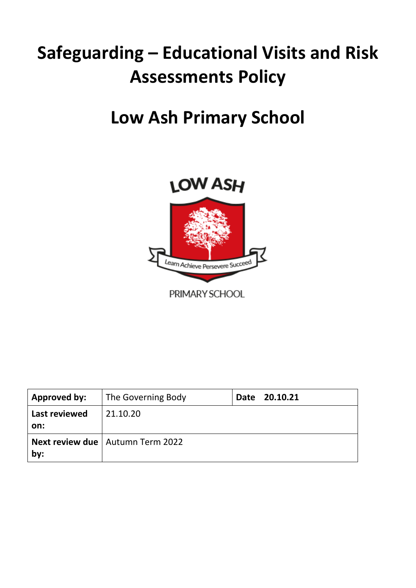# **Safeguarding – Educational Visits and Risk Assessments Policy**

## **Low Ash Primary School**



| Approved by:         | The Governing Body                        | Date 20.10.21 |
|----------------------|-------------------------------------------|---------------|
| Last reviewed<br>on: | 21.10.20                                  |               |
|                      | <b>Next review due</b>   Autumn Term 2022 |               |
| by:                  |                                           |               |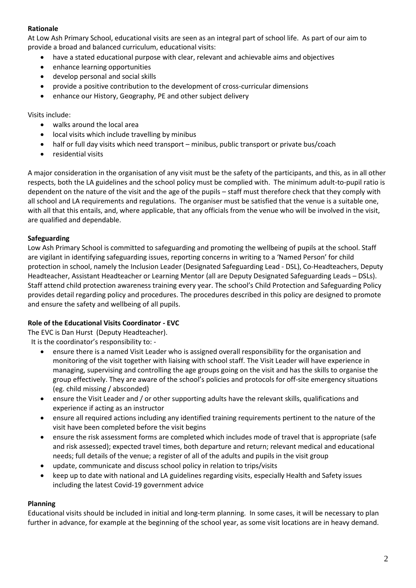#### **Rationale**

At Low Ash Primary School, educational visits are seen as an integral part of school life. As part of our aim to provide a broad and balanced curriculum, educational visits:

- have a stated educational purpose with clear, relevant and achievable aims and objectives
- enhance learning opportunities
- develop personal and social skills
- provide a positive contribution to the development of cross-curricular dimensions
- enhance our History, Geography, PE and other subject delivery

Visits include:

- walks around the local area
- local visits which include travelling by minibus
- half or full day visits which need transport minibus, public transport or private bus/coach
- residential visits

A major consideration in the organisation of any visit must be the safety of the participants, and this, as in all other respects, both the LA guidelines and the school policy must be complied with. The minimum adult-to-pupil ratio is dependent on the nature of the visit and the age of the pupils – staff must therefore check that they comply with all school and LA requirements and regulations. The organiser must be satisfied that the venue is a suitable one, with all that this entails, and, where applicable, that any officials from the venue who will be involved in the visit, are qualified and dependable.

#### **Safeguarding**

Low Ash Primary School is committed to safeguarding and promoting the wellbeing of pupils at the school. Staff are vigilant in identifying safeguarding issues, reporting concerns in writing to a 'Named Person' for child protection in school, namely the Inclusion Leader (Designated Safeguarding Lead - DSL), Co-Headteachers, Deputy Headteacher, Assistant Headteacher or Learning Mentor (all are Deputy Designated Safeguarding Leads – DSLs). Staff attend child protection awareness training every year. The school's Child Protection and Safeguarding Policy provides detail regarding policy and procedures. The procedures described in this policy are designed to promote and ensure the safety and wellbeing of all pupils.

#### **Role of the Educational Visits Coordinator - EVC**

The EVC is Dan Hurst (Deputy Headteacher).

It is the coordinator's responsibility to: -

- ensure there is a named Visit Leader who is assigned overall responsibility for the organisation and monitoring of the visit together with liaising with school staff. The Visit Leader will have experience in managing, supervising and controlling the age groups going on the visit and has the skills to organise the group effectively. They are aware of the school's policies and protocols for off-site emergency situations (eg. child missing / absconded)
- ensure the Visit Leader and / or other supporting adults have the relevant skills, qualifications and experience if acting as an instructor
- ensure all required actions including any identified training requirements pertinent to the nature of the visit have been completed before the visit begins
- ensure the risk assessment forms are completed which includes mode of travel that is appropriate (safe and risk assessed); expected travel times, both departure and return; relevant medical and educational needs; full details of the venue; a register of all of the adults and pupils in the visit group
- update, communicate and discuss school policy in relation to trips/visits
- keep up to date with national and LA guidelines regarding visits, especially Health and Safety issues including the latest Covid-19 government advice

#### **Planning**

Educational visits should be included in initial and long-term planning. In some cases, it will be necessary to plan further in advance, for example at the beginning of the school year, as some visit locations are in heavy demand.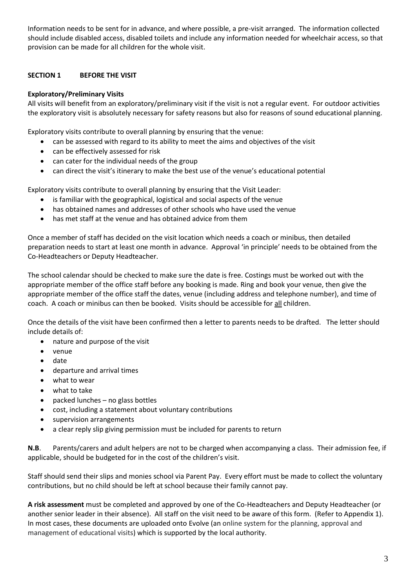Information needs to be sent for in advance, and where possible, a pre-visit arranged. The information collected should include disabled access, disabled toilets and include any information needed for wheelchair access, so that provision can be made for all children for the whole visit.

#### **SECTION 1 BEFORE THE VISIT**

#### **Exploratory/Preliminary Visits**

All visits will benefit from an exploratory/preliminary visit if the visit is not a regular event. For outdoor activities the exploratory visit is absolutely necessary for safety reasons but also for reasons of sound educational planning.

Exploratory visits contribute to overall planning by ensuring that the venue:

- can be assessed with regard to its ability to meet the aims and objectives of the visit
- can be effectively assessed for risk
- can cater for the individual needs of the group
- can direct the visit's itinerary to make the best use of the venue's educational potential

Exploratory visits contribute to overall planning by ensuring that the Visit Leader:

- is familiar with the geographical, logistical and social aspects of the venue
- has obtained names and addresses of other schools who have used the venue
- has met staff at the venue and has obtained advice from them

Once a member of staff has decided on the visit location which needs a coach or minibus, then detailed preparation needs to start at least one month in advance. Approval 'in principle' needs to be obtained from the Co-Headteachers or Deputy Headteacher.

The school calendar should be checked to make sure the date is free. Costings must be worked out with the appropriate member of the office staff before any booking is made. Ring and book your venue, then give the appropriate member of the office staff the dates, venue (including address and telephone number), and time of coach. A coach or minibus can then be booked. Visits should be accessible for all children.

Once the details of the visit have been confirmed then a letter to parents needs to be drafted. The letter should include details of:

- nature and purpose of the visit
- venue
- date
- departure and arrival times
- what to wear
- what to take
- packed lunches no glass bottles
- cost, including a statement about voluntary contributions
- supervision arrangements
- a clear reply slip giving permission must be included for parents to return

**N.B**. Parents/carers and adult helpers are not to be charged when accompanying a class. Their admission fee, if applicable, should be budgeted for in the cost of the children's visit.

Staff should send their slips and monies school via Parent Pay. Every effort must be made to collect the voluntary contributions, but no child should be left at school because their family cannot pay.

**A risk assessment** must be completed and approved by one of the Co-Headteachers and Deputy Headteacher (or another senior leader in their absence). All staff on the visit need to be aware of this form. (Refer to Appendix 1). In most cases, these documents are uploaded onto Evolve (an online system for the planning, approval and management of educational visits) which is supported by the local authority.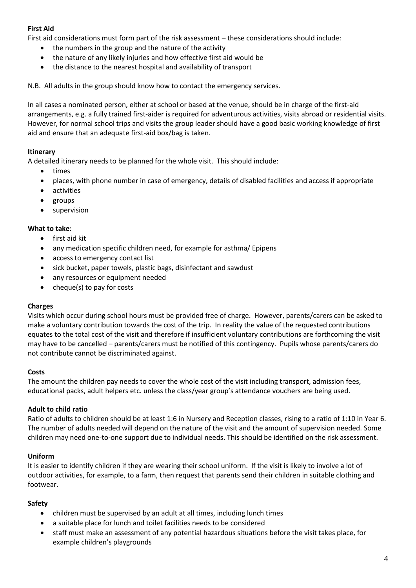#### **First Aid**

First aid considerations must form part of the risk assessment – these considerations should include:

- the numbers in the group and the nature of the activity
- the nature of any likely injuries and how effective first aid would be
- the distance to the nearest hospital and availability of transport

N.B. All adults in the group should know how to contact the emergency services.

In all cases a nominated person, either at school or based at the venue, should be in charge of the first-aid arrangements, e.g. a fully trained first-aider is required for adventurous activities, visits abroad or residential visits. However, for normal school trips and visits the group leader should have a good basic working knowledge of first aid and ensure that an adequate first-aid box/bag is taken.

#### **Itinerary**

A detailed itinerary needs to be planned for the whole visit. This should include:

- times
- places, with phone number in case of emergency, details of disabled facilities and access if appropriate
- activities
- groups
- supervision

#### **What to take**:

- first aid kit
- any medication specific children need, for example for asthma/ Epipens
- access to emergency contact list
- sick bucket, paper towels, plastic bags, disinfectant and sawdust
- any resources or equipment needed
- cheque(s) to pay for costs

#### **Charges**

Visits which occur during school hours must be provided free of charge. However, parents/carers can be asked to make a voluntary contribution towards the cost of the trip. In reality the value of the requested contributions equates to the total cost of the visit and therefore if insufficient voluntary contributions are forthcoming the visit may have to be cancelled – parents/carers must be notified of this contingency. Pupils whose parents/carers do not contribute cannot be discriminated against.

#### **Costs**

The amount the children pay needs to cover the whole cost of the visit including transport, admission fees, educational packs, adult helpers etc. unless the class/year group's attendance vouchers are being used.

#### **Adult to child ratio**

Ratio of adults to children should be at least 1:6 in Nursery and Reception classes, rising to a ratio of 1:10 in Year 6. The number of adults needed will depend on the nature of the visit and the amount of supervision needed. Some children may need one-to-one support due to individual needs. This should be identified on the risk assessment.

#### **Uniform**

It is easier to identify children if they are wearing their school uniform. If the visit is likely to involve a lot of outdoor activities, for example, to a farm, then request that parents send their children in suitable clothing and footwear.

#### **Safety**

- children must be supervised by an adult at all times, including lunch times
- a suitable place for lunch and toilet facilities needs to be considered
- staff must make an assessment of any potential hazardous situations before the visit takes place, for example children's playgrounds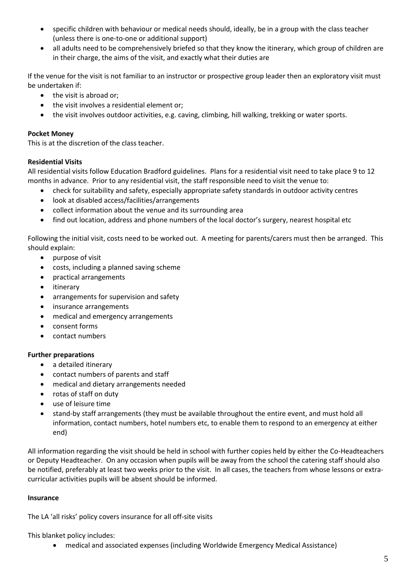- specific children with behaviour or medical needs should, ideally, be in a group with the class teacher (unless there is one-to-one or additional support)
- all adults need to be comprehensively briefed so that they know the itinerary, which group of children are in their charge, the aims of the visit, and exactly what their duties are

If the venue for the visit is not familiar to an instructor or prospective group leader then an exploratory visit must be undertaken if:

- the visit is abroad or;
- the visit involves a residential element or;
- the visit involves outdoor activities, e.g. caving, climbing, hill walking, trekking or water sports.

#### **Pocket Money**

This is at the discretion of the class teacher.

#### **Residential Visits**

All residential visits follow Education Bradford guidelines. Plans for a residential visit need to take place 9 to 12 months in advance. Prior to any residential visit, the staff responsible need to visit the venue to:

- check for suitability and safety, especially appropriate safety standards in outdoor activity centres
- look at disabled access/facilities/arrangements
- collect information about the venue and its surrounding area
- find out location, address and phone numbers of the local doctor's surgery, nearest hospital etc

Following the initial visit, costs need to be worked out. A meeting for parents/carers must then be arranged. This should explain:

- purpose of visit
- costs, including a planned saving scheme
- practical arrangements
- itinerary
- arrangements for supervision and safety
- insurance arrangements
- medical and emergency arrangements
- consent forms
- contact numbers

#### **Further preparations**

- a detailed itinerary
- contact numbers of parents and staff
- medical and dietary arrangements needed
- rotas of staff on duty
- use of leisure time
- stand-by staff arrangements (they must be available throughout the entire event, and must hold all information, contact numbers, hotel numbers etc, to enable them to respond to an emergency at either end)

All information regarding the visit should be held in school with further copies held by either the Co-Headteachers or Deputy Headteacher. On any occasion when pupils will be away from the school the catering staff should also be notified, preferably at least two weeks prior to the visit. In all cases, the teachers from whose lessons or extracurricular activities pupils will be absent should be informed.

#### **Insurance**

The LA 'all risks' policy covers insurance for all off-site visits

This blanket policy includes:

• medical and associated expenses (including Worldwide Emergency Medical Assistance)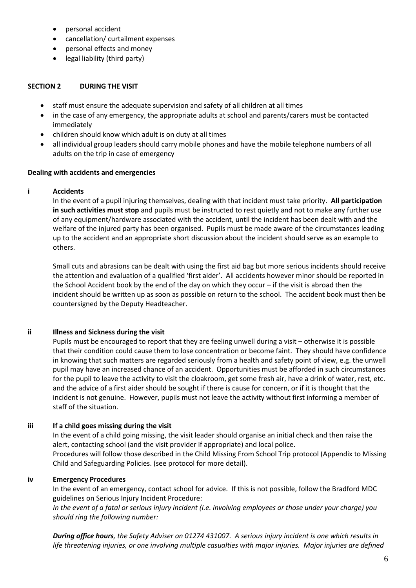- personal accident
- cancellation/ curtailment expenses
- personal effects and money
- legal liability (third party)

#### **SECTION 2 DURING THE VISIT**

- staff must ensure the adequate supervision and safety of all children at all times
- in the case of any emergency, the appropriate adults at school and parents/carers must be contacted immediately
- children should know which adult is on duty at all times
- all individual group leaders should carry mobile phones and have the mobile telephone numbers of all adults on the trip in case of emergency

#### **Dealing with accidents and emergencies**

#### **i Accidents**

In the event of a pupil injuring themselves, dealing with that incident must take priority. **All participation in such activities must stop** and pupils must be instructed to rest quietly and not to make any further use of any equipment/hardware associated with the accident, until the incident has been dealt with and the welfare of the injured party has been organised. Pupils must be made aware of the circumstances leading up to the accident and an appropriate short discussion about the incident should serve as an example to others.

Small cuts and abrasions can be dealt with using the first aid bag but more serious incidents should receive the attention and evaluation of a qualified 'first aider'. All accidents however minor should be reported in the School Accident book by the end of the day on which they occur – if the visit is abroad then the incident should be written up as soon as possible on return to the school. The accident book must then be countersigned by the Deputy Headteacher.

#### **ii Illness and Sickness during the visit**

Pupils must be encouraged to report that they are feeling unwell during a visit – otherwise it is possible that their condition could cause them to lose concentration or become faint. They should have confidence in knowing that such matters are regarded seriously from a health and safety point of view, e.g. the unwell pupil may have an increased chance of an accident. Opportunities must be afforded in such circumstances for the pupil to leave the activity to visit the cloakroom, get some fresh air, have a drink of water, rest, etc. and the advice of a first aider should be sought if there is cause for concern, or if it is thought that the incident is not genuine. However, pupils must not leave the activity without first informing a member of staff of the situation.

#### **iii If a child goes missing during the visit**

In the event of a child going missing, the visit leader should organise an initial check and then raise the alert, contacting school (and the visit provider if appropriate) and local police. Procedures will follow those described in the Child Missing From School Trip protocol (Appendix to Missing Child and Safeguarding Policies. (see protocol for more detail).

#### **iv Emergency Procedures**

In the event of an emergency, contact school for advice. If this is not possible, follow the Bradford MDC guidelines on Serious Injury Incident Procedure:

*In the event of a fatal or serious injury incident (i.e. involving employees or those under your charge) you should ring the following number:*

*During office hours, the Safety Adviser on 01274 431007. A serious injury incident is one which results in life threatening injuries, or one involving multiple casualties with major injuries. Major injuries are defined*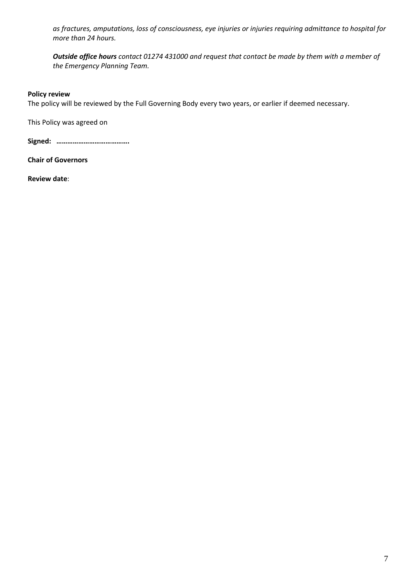*as fractures, amputations, loss of consciousness, eye injuries or injuries requiring admittance to hospital for more than 24 hours.*

*Outside office hours contact 01274 431000 and request that contact be made by them with a member of the Emergency Planning Team.*

#### **Policy review**

The policy will be reviewed by the Full Governing Body every two years, or earlier if deemed necessary.

This Policy was agreed on

**Signed: ………………………………….**

**Chair of Governors**

**Review date**: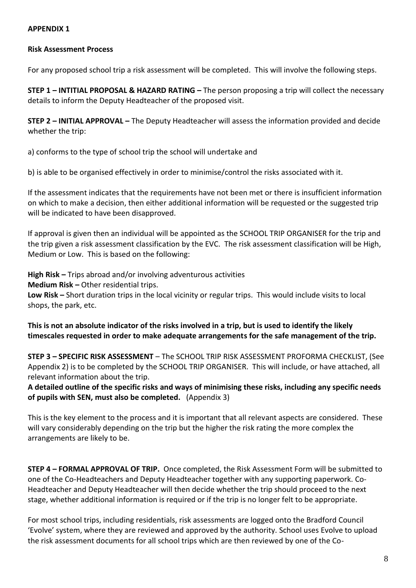#### **APPENDIX 1**

#### **Risk Assessment Process**

For any proposed school trip a risk assessment will be completed. This will involve the following steps.

**STEP 1 – INTITIAL PROPOSAL & HAZARD RATING –** The person proposing a trip will collect the necessary details to inform the Deputy Headteacher of the proposed visit.

**STEP 2 – INITIAL APPROVAL –** The Deputy Headteacher will assess the information provided and decide whether the trip:

a) conforms to the type of school trip the school will undertake and

b) is able to be organised effectively in order to minimise/control the risks associated with it.

If the assessment indicates that the requirements have not been met or there is insufficient information on which to make a decision, then either additional information will be requested or the suggested trip will be indicated to have been disapproved.

If approval is given then an individual will be appointed as the SCHOOL TRIP ORGANISER for the trip and the trip given a risk assessment classification by the EVC. The risk assessment classification will be High, Medium or Low. This is based on the following:

**High Risk –** Trips abroad and/or involving adventurous activities **Medium Risk –** Other residential trips. **Low Risk –** Short duration trips in the local vicinity or regular trips. This would include visits to local shops, the park, etc.

**This is not an absolute indicator of the risks involved in a trip, but is used to identify the likely timescales requested in order to make adequate arrangements for the safe management of the trip.**

**STEP 3 – SPECIFIC RISK ASSESSMENT** – The SCHOOL TRIP RISK ASSESSMENT PROFORMA CHECKLIST, (See Appendix 2) is to be completed by the SCHOOL TRIP ORGANISER. This will include, or have attached, all relevant information about the trip.

**A detailed outline of the specific risks and ways of minimising these risks, including any specific needs of pupils with SEN, must also be completed.** (Appendix 3)

This is the key element to the process and it is important that all relevant aspects are considered. These will vary considerably depending on the trip but the higher the risk rating the more complex the arrangements are likely to be.

**STEP 4 – FORMAL APPROVAL OF TRIP.** Once completed, the Risk Assessment Form will be submitted to one of the Co-Headteachers and Deputy Headteacher together with any supporting paperwork. Co-Headteacher and Deputy Headteacher will then decide whether the trip should proceed to the next stage, whether additional information is required or if the trip is no longer felt to be appropriate.

For most school trips, including residentials, risk assessments are logged onto the Bradford Council 'Evolve' system, where they are reviewed and approved by the authority. School uses Evolve to upload the risk assessment documents for all school trips which are then reviewed by one of the Co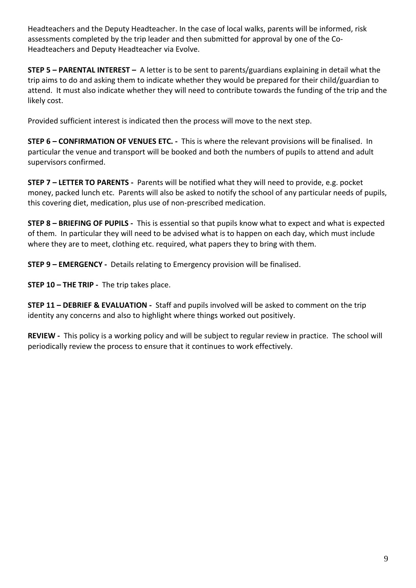Headteachers and the Deputy Headteacher. In the case of local walks, parents will be informed, risk assessments completed by the trip leader and then submitted for approval by one of the Co-Headteachers and Deputy Headteacher via Evolve.

**STEP 5 – PARENTAL INTEREST –** A letter is to be sent to parents/guardians explaining in detail what the trip aims to do and asking them to indicate whether they would be prepared for their child/guardian to attend. It must also indicate whether they will need to contribute towards the funding of the trip and the likely cost.

Provided sufficient interest is indicated then the process will move to the next step.

**STEP 6 – CONFIRMATION OF VENUES ETC. -** This is where the relevant provisions will be finalised. In particular the venue and transport will be booked and both the numbers of pupils to attend and adult supervisors confirmed.

**STEP 7 – LETTER TO PARENTS -** Parents will be notified what they will need to provide, e.g. pocket money, packed lunch etc. Parents will also be asked to notify the school of any particular needs of pupils, this covering diet, medication, plus use of non-prescribed medication.

**STEP 8 – BRIEFING OF PUPILS -** This is essential so that pupils know what to expect and what is expected of them. In particular they will need to be advised what is to happen on each day, which must include where they are to meet, clothing etc. required, what papers they to bring with them.

**STEP 9 – EMERGENCY -** Details relating to Emergency provision will be finalised.

**STEP 10 – THE TRIP -** The trip takes place.

**STEP 11 – DEBRIEF & EVALUATION -** Staff and pupils involved will be asked to comment on the trip identity any concerns and also to highlight where things worked out positively.

**REVIEW -** This policy is a working policy and will be subject to regular review in practice. The school will periodically review the process to ensure that it continues to work effectively.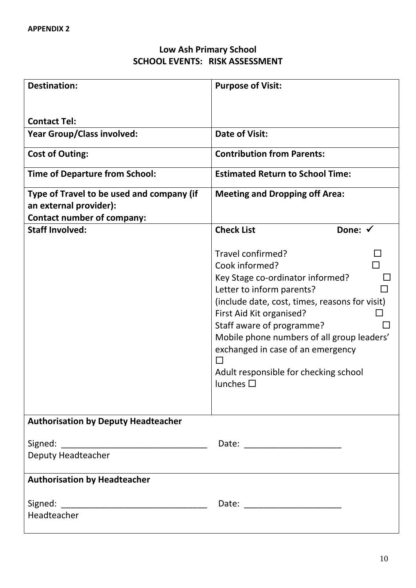## **Low Ash Primary School SCHOOL EVENTS: RISK ASSESSMENT**

| <b>Destination:</b>                                                                                      | <b>Purpose of Visit:</b>                                                                                                                                                                                                                                                                                                                                         |  |  |  |  |
|----------------------------------------------------------------------------------------------------------|------------------------------------------------------------------------------------------------------------------------------------------------------------------------------------------------------------------------------------------------------------------------------------------------------------------------------------------------------------------|--|--|--|--|
|                                                                                                          |                                                                                                                                                                                                                                                                                                                                                                  |  |  |  |  |
| <b>Contact Tel:</b>                                                                                      |                                                                                                                                                                                                                                                                                                                                                                  |  |  |  |  |
| <b>Year Group/Class involved:</b>                                                                        | <b>Date of Visit:</b>                                                                                                                                                                                                                                                                                                                                            |  |  |  |  |
| <b>Cost of Outing:</b>                                                                                   | <b>Contribution from Parents:</b>                                                                                                                                                                                                                                                                                                                                |  |  |  |  |
| <b>Time of Departure from School:</b>                                                                    | <b>Estimated Return to School Time:</b>                                                                                                                                                                                                                                                                                                                          |  |  |  |  |
| Type of Travel to be used and company (if<br>an external provider):<br><b>Contact number of company:</b> | <b>Meeting and Dropping off Area:</b>                                                                                                                                                                                                                                                                                                                            |  |  |  |  |
| <b>Staff Involved:</b>                                                                                   | <b>Check List</b><br>Done: √                                                                                                                                                                                                                                                                                                                                     |  |  |  |  |
|                                                                                                          | Travel confirmed?<br>Cook informed?<br>Key Stage co-ordinator informed?<br>Letter to inform parents?<br>(include date, cost, times, reasons for visit)<br>First Aid Kit organised?<br>Staff aware of programme?<br>Mobile phone numbers of all group leaders'<br>exchanged in case of an emergency<br>Adult responsible for checking school<br>lunches $\square$ |  |  |  |  |
| <b>Authorisation by Deputy Headteacher</b>                                                               |                                                                                                                                                                                                                                                                                                                                                                  |  |  |  |  |
|                                                                                                          |                                                                                                                                                                                                                                                                                                                                                                  |  |  |  |  |
| Deputy Headteacher                                                                                       |                                                                                                                                                                                                                                                                                                                                                                  |  |  |  |  |
| <b>Authorisation by Headteacher</b>                                                                      |                                                                                                                                                                                                                                                                                                                                                                  |  |  |  |  |
| Headteacher                                                                                              |                                                                                                                                                                                                                                                                                                                                                                  |  |  |  |  |